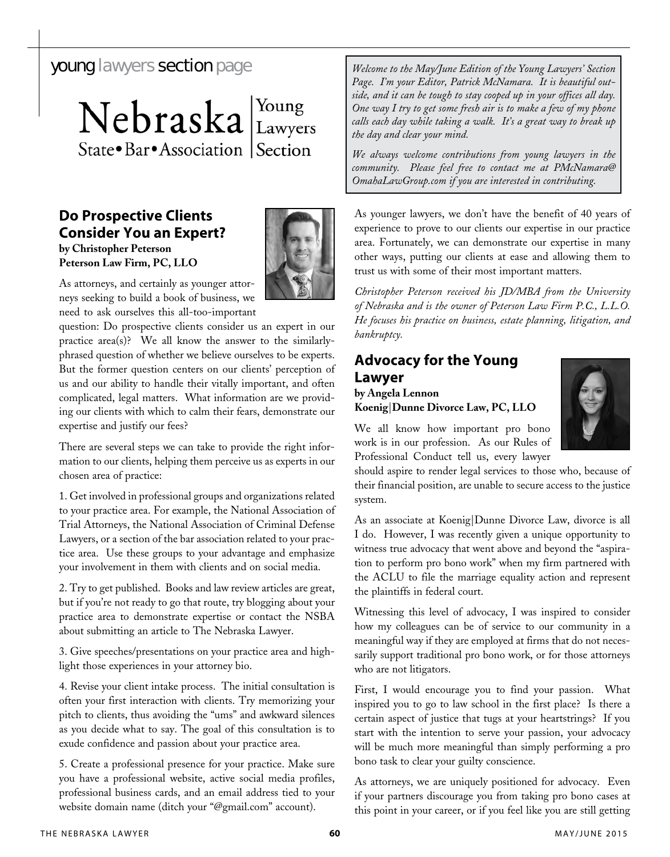Nebraska Lawyers State • Bar • Association | Section

# **Do Prospective Clients Consider You an Expert? by Christopher Peterson Peterson Law Firm, PC, LLO**



As attorneys, and certainly as younger attorneys seeking to build a book of business, we need to ask ourselves this all-too-important

question: Do prospective clients consider us an expert in our practice area(s)? We all know the answer to the similarlyphrased question of whether we believe ourselves to be experts. But the former question centers on our clients' perception of us and our ability to handle their vitally important, and often complicated, legal matters. What information are we providing our clients with which to calm their fears, demonstrate our expertise and justify our fees?

There are several steps we can take to provide the right information to our clients, helping them perceive us as experts in our chosen area of practice:

1. Get involved in professional groups and organizations related to your practice area. For example, the National Association of Trial Attorneys, the National Association of Criminal Defense Lawyers, or a section of the bar association related to your practice area. Use these groups to your advantage and emphasize your involvement in them with clients and on social media.

2. Try to get published. Books and law review articles are great, but if you're not ready to go that route, try blogging about your practice area to demonstrate expertise or contact the NSBA about submitting an article to The Nebraska Lawyer.

3. Give speeches/presentations on your practice area and highlight those experiences in your attorney bio.

4. Revise your client intake process. The initial consultation is often your first interaction with clients. Try memorizing your pitch to clients, thus avoiding the "ums" and awkward silences as you decide what to say. The goal of this consultation is to exude confidence and passion about your practice area.

5. Create a professional presence for your practice. Make sure you have a professional website, active social media profiles, professional business cards, and an email address tied to your website domain name (ditch your "@gmail.com" account).

young lawyers section page *Welcome to the May/June Edition of the Young Lawyers' Section Page. I'm your Editor, Patrick McNamara. It is beautiful outside, and it can be tough to stay cooped up in your offices all day. One way I try to get some fresh air is to make a few of my phone calls each day while taking a walk. It's a great way to break up the day and clear your mind.* 

> *We always welcome contributions from young lawyers in the community. Please feel free to contact me at PMcNamara@ OmahaLawGroup.com if you are interested in contributing.*

As younger lawyers, we don't have the benefit of 40 years of experience to prove to our clients our expertise in our practice area. Fortunately, we can demonstrate our expertise in many other ways, putting our clients at ease and allowing them to trust us with some of their most important matters.

*Christopher Peterson received his JD/MBA from the University of Nebraska and is the owner of Peterson Law Firm P.C., L.L.O. He focuses his practice on business, estate planning, litigation, and bankruptcy.*

# **Advocacy for the Young Lawyer**

### **by Angela Lennon Koenig**|**Dunne Divorce Law, PC, LLO**

We all know how important pro bono work is in our profession. As our Rules of Professional Conduct tell us, every lawyer



should aspire to render legal services to those who, because of their financial position, are unable to secure access to the justice system.

As an associate at Koenig|Dunne Divorce Law, divorce is all I do. However, I was recently given a unique opportunity to witness true advocacy that went above and beyond the "aspiration to perform pro bono work" when my firm partnered with the ACLU to file the marriage equality action and represent the plaintiffs in federal court.

Witnessing this level of advocacy, I was inspired to consider how my colleagues can be of service to our community in a meaningful way if they are employed at firms that do not necessarily support traditional pro bono work, or for those attorneys who are not litigators.

First, I would encourage you to find your passion. What inspired you to go to law school in the first place? Is there a certain aspect of justice that tugs at your heartstrings? If you start with the intention to serve your passion, your advocacy will be much more meaningful than simply performing a pro bono task to clear your guilty conscience.

As attorneys, we are uniquely positioned for advocacy. Even if your partners discourage you from taking pro bono cases at this point in your career, or if you feel like you are still getting